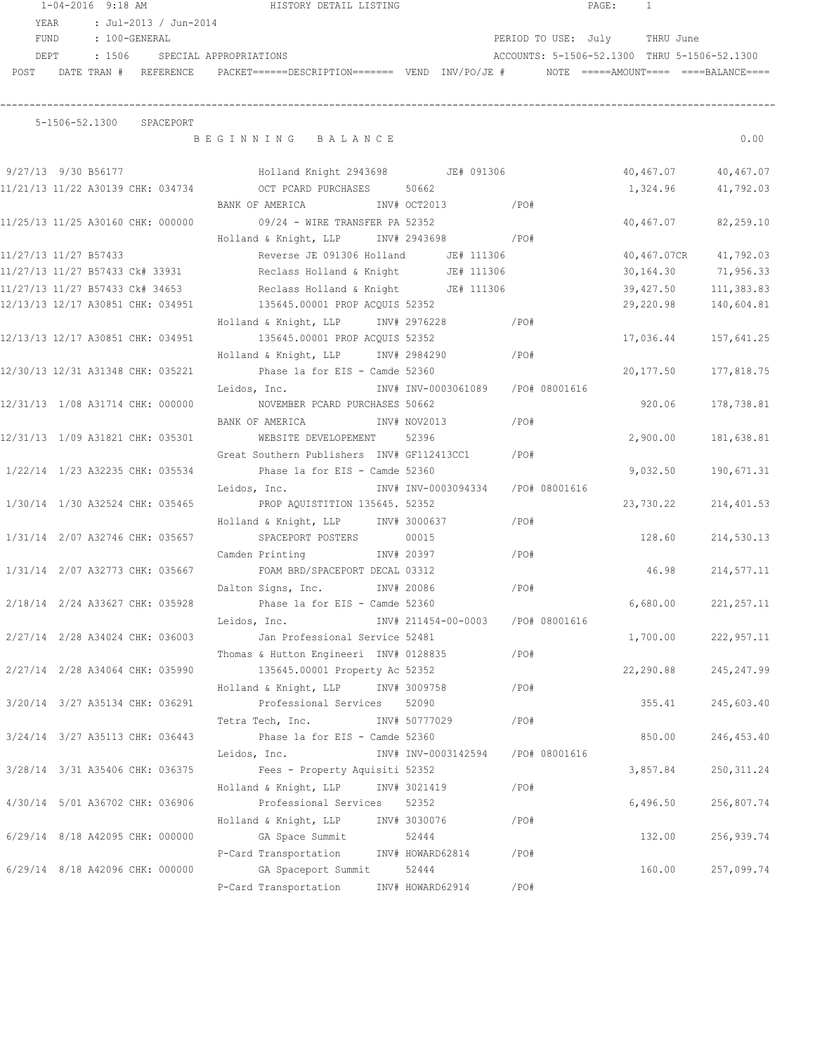1-04-2016 9:18 AM HISTORY DETAIL LISTING PAGE: 1 YEAR : Jul-2013 / Jun-2014 FUND : 100-GENERAL PERIOD TO USE: July THRU June DEPT : 1506 SPECIAL APPROPRIATIONS ACCOUNTS: 5-1506-52.1300 THRU 5-1506-52.1300 POST DATE TRAN # REFERENCE PACKET======DESCRIPTION======= VEND INV/PO/JE # NOTE =====AMOUNT==== ====BALANCE====

## ------------------------------------------------------------------------------------------------------------------------------------ 5-1506-52.1300 SPACEPORT

B E G I N N I N G B A L A N C E 0.00

| 9/27/13 9/30 B56177             |  |                                   |              | Holland Knight 2943698 JE# 091306                                   |                     |         |                                   | 40,467.07          | 40,467.07   |
|---------------------------------|--|-----------------------------------|--------------|---------------------------------------------------------------------|---------------------|---------|-----------------------------------|--------------------|-------------|
|                                 |  |                                   |              | 11/21/13 11/22 A30139 CHK: 034734 OCT PCARD PURCHASES 50662         |                     |         |                                   | 1,324.96 41,792.03 |             |
|                                 |  |                                   |              | BANK OF AMERICA                                                     | INV# OCT2013 /PO#   |         |                                   |                    |             |
|                                 |  | 11/25/13 11/25 A30160 CHK: 000000 |              | 09/24 - WIRE TRANSFER PA 52352                                      |                     |         |                                   | 40,467.07          | 82,259.10   |
|                                 |  |                                   |              | Holland & Knight, LLP                                               | INV# 2943698 / PO#  |         |                                   |                    |             |
| 11/27/13 11/27 B57433           |  |                                   |              | Reverse JE 091306 Holland JE# 111306                                |                     |         |                                   | 40,467.07CR        | 41,792.03   |
|                                 |  |                                   |              | 11/27/13 11/27 B57433 Ck# 33931 Reclass Holland & Knight JE# 111306 |                     |         |                                   | 30,164.30          | 71,956.33   |
|                                 |  | 11/27/13 11/27 B57433 Ck# 34653   |              | Reclass Holland & Knight JE# 111306                                 |                     |         |                                   | 39,427.50          | 111,383.83  |
|                                 |  | 12/13/13 12/17 A30851 CHK: 034951 |              | 135645.00001 PROP ACQUIS 52352                                      |                     |         |                                   | 29,220.98          | 140,604.81  |
|                                 |  |                                   |              | Holland & Knight, LLP INV# 2976228                                  |                     |         | $/$ PO#                           |                    |             |
|                                 |  |                                   |              | 12/13/13 12/17 A30851 CHK: 034951 135645.00001 PROP ACQUIS 52352    |                     |         |                                   | 17,036.44          | 157,641.25  |
|                                 |  |                                   |              | Holland & Knight, LLP INV# 2984290                                  |                     | $/$ PO# |                                   |                    |             |
|                                 |  |                                   |              | 12/30/13 12/31 A31348 CHK: 035221 Phase 1a for EIS - Camde 52360    |                     |         |                                   | 20,177.50          | 177,818.75  |
|                                 |  |                                   |              |                                                                     |                     |         |                                   |                    |             |
|                                 |  |                                   |              | 12/31/13 1/08 A31714 CHK: 000000 NOVEMBER PCARD PURCHASES 50662     |                     |         |                                   | 920.06             | 178,738.81  |
|                                 |  |                                   |              |                                                                     |                     |         |                                   |                    |             |
|                                 |  |                                   |              | 12/31/13 1/09 A31821 CHK: 035301 WEBSITE DEVELOPEMENT               | 52396               |         |                                   | 2,900.00           | 181,638.81  |
|                                 |  |                                   |              | Great Southern Publishers INV# GF112413CC1 / PO#                    |                     |         |                                   |                    |             |
| 1/22/14 1/23 A32235 CHK: 035534 |  |                                   |              | Phase 1a for EIS - Camde 52360                                      |                     |         |                                   | 9,032.50           | 190,671.31  |
|                                 |  |                                   |              | Leidos, Inc.                                                        |                     |         | INV# INV-0003094334 /PO# 08001616 |                    |             |
| 1/30/14 1/30 A32524 CHK: 035465 |  |                                   |              | PROP AQUISTITION 135645. 52352                                      |                     |         |                                   | 23,730.22          | 214,401.53  |
|                                 |  |                                   |              | Holland & Knight, LLP INV# 3000637                                  |                     |         | /PO#                              |                    |             |
| 1/31/14 2/07 A32746 CHK: 035657 |  |                                   |              | SPACEPORT POSTERS 00015                                             |                     |         |                                   | 128.60             | 214,530.13  |
|                                 |  |                                   |              | Camden Printing                                                     | INV# 20397          |         | /PO#                              |                    |             |
| 1/31/14 2/07 A32773 CHK: 035667 |  |                                   |              | FOAM BRD/SPACEPORT DECAL 03312                                      |                     |         |                                   | 46.98              | 214,577.11  |
|                                 |  |                                   |              | Dalton Signs, Inc.                                                  | INV# 20086          |         | /PO#                              |                    |             |
| 2/18/14 2/24 A33627 CHK: 035928 |  |                                   |              | Phase 1a for EIS - Camde 52360                                      |                     |         |                                   | 6,680.00           | 221, 257.11 |
|                                 |  |                                   |              | Leidos, Inc.                                                        |                     |         | INV# 211454-00-0003 /PO# 08001616 |                    |             |
| 2/27/14 2/28 A34024 CHK: 036003 |  |                                   |              | Jan Professional Service 52481                                      |                     |         |                                   | 1,700.00           | 222,957.11  |
|                                 |  |                                   |              | Thomas & Hutton Engineeri INV# 0128835                              |                     |         | /PO#                              |                    |             |
|                                 |  | 2/27/14 2/28 A34064 CHK: 035990   |              | 135645.00001 Property Ac 52352                                      |                     |         |                                   | 22,290.88          | 245, 247.99 |
|                                 |  |                                   |              | Holland & Knight, LLP INV# 3009758                                  |                     |         | /PO#                              |                    |             |
|                                 |  |                                   |              | 3/20/14 3/27 A35134 CHK: 036291 Professional Services 52090         |                     |         |                                   | 355.41             | 245,603.40  |
|                                 |  |                                   |              | Tetra Tech, Inc. NV# 50777029                                       |                     |         | /PO#                              |                    |             |
|                                 |  | 3/24/14 3/27 A35113 CHK: 036443   |              | Phase 1a for EIS - Camde 52360                                      |                     |         |                                   | 850.00             | 246,453.40  |
|                                 |  |                                   | Leidos, Inc. |                                                                     | INV# INV-0003142594 |         | /PO# 08001616                     |                    |             |
| 3/28/14 3/31 A35406 CHK: 036375 |  |                                   |              | Fees - Property Aquisiti 52352                                      |                     |         |                                   | 3,857.84           | 250, 311.24 |
|                                 |  |                                   |              | Holland & Knight, LLP                                               | INV# 3021419        |         | /PO#                              |                    |             |
| 4/30/14 5/01 A36702 CHK: 036906 |  |                                   |              | Professional Services                                               | 52352               |         |                                   | 6,496.50           | 256,807.74  |
|                                 |  |                                   |              | Holland & Knight, LLP                                               | INV# 3030076        |         | /PO#                              |                    |             |
| 6/29/14 8/18 A42095 CHK: 000000 |  |                                   |              | GA Space Summit                                                     | 52444               |         |                                   | 132.00             | 256,939.74  |
|                                 |  |                                   |              | P-Card Transportation                                               | INV# HOWARD62814    |         | /PO#                              |                    |             |
| 6/29/14 8/18 A42096 CHK: 000000 |  |                                   |              | GA Spaceport Summit                                                 | 52444               |         |                                   | 160.00             | 257,099.74  |
|                                 |  |                                   |              | P-Card Transportation                                               | INV# HOWARD62914    |         | /PO#                              |                    |             |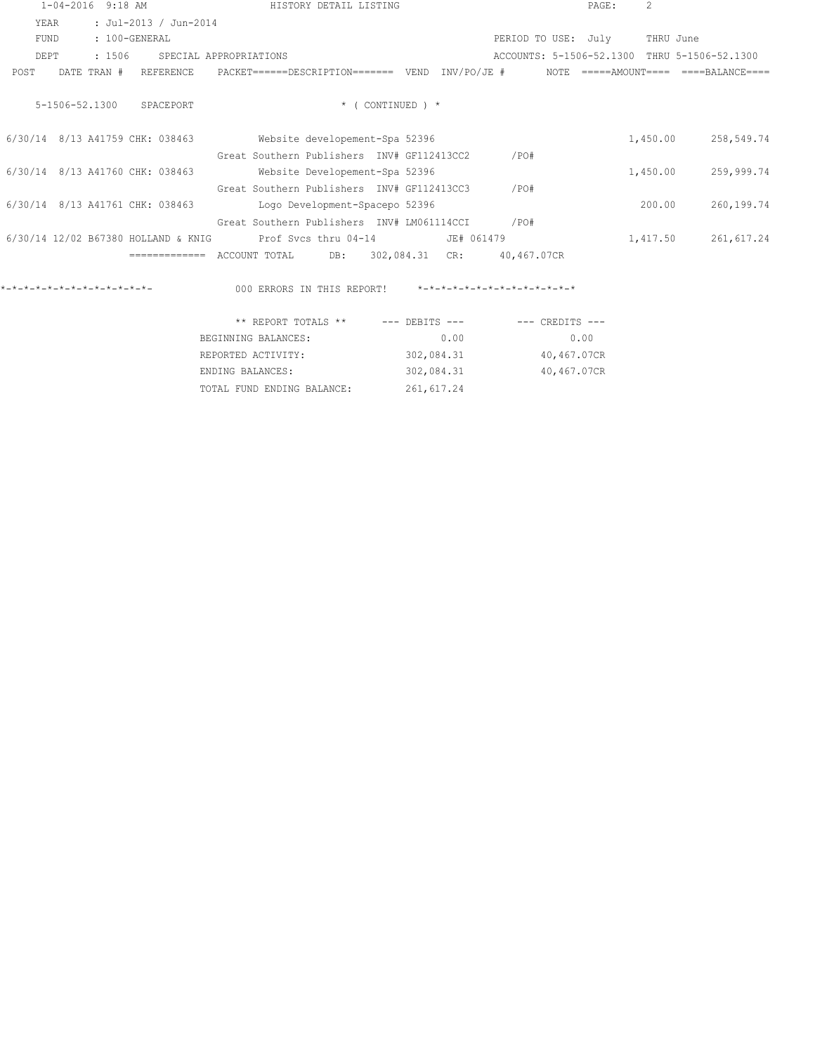|                               | $1 - 04 - 2016$ |             | 9:18 AM                             |                                            | HISTORY DETAIL LISTING         |                       |             |                                 |      | PAGE: | $\mathfrak{D}$ |                                      |
|-------------------------------|-----------------|-------------|-------------------------------------|--------------------------------------------|--------------------------------|-----------------------|-------------|---------------------------------|------|-------|----------------|--------------------------------------|
| YEAR                          |                 |             | : Jul-2013 / Jun-2014               |                                            |                                |                       |             |                                 |      |       |                |                                      |
| FUND                          |                 |             | : 100-GENERAL                       |                                            |                                |                       |             | PERIOD TO USE:                  |      | Julv  | THRU June      |                                      |
| DEPT                          |                 | : 1506      |                                     | SPECIAL APPROPRIATIONS                     |                                |                       |             | ACCOUNTS: 5-1506-52.1300        |      |       |                | THRU 5-1506-52.1300                  |
| POST                          |                 | DATE TRAN # | REFERENCE                           | PACKET======DESCRIPTION======= VEND        |                                |                       | INV/PO/JE # |                                 | NOTE |       |                | $====AMO$ UNT $==$ $===BA$ LANCE==== |
|                               | 5-1506-52.1300  |             | SPACEPORT                           |                                            |                                | $*$ ( CONTINUED ) $*$ |             |                                 |      |       |                |                                      |
|                               |                 |             | 6/30/14 8/13 A41759 CHK: 038463     |                                            | Website developement-Spa 52396 |                       |             |                                 |      |       | 1,450.00       | 258,549.74                           |
|                               |                 |             |                                     | Great Southern Publishers TNV# GF112413CC2 |                                |                       |             | /PO#                            |      |       |                |                                      |
|                               |                 |             | 6/30/14 8/13 A41760 CHK: 038463     |                                            | Website Developement-Spa 52396 |                       |             |                                 |      |       | 1,450.00       | 259,999.74                           |
|                               |                 |             |                                     | Great Southern Publishers INV# GF112413CC3 |                                |                       |             | /PO#                            |      |       |                |                                      |
|                               |                 |             | 6/30/14 8/13 A41761 CHK: 038463     |                                            | Logo Development-Spacepo 52396 |                       |             |                                 |      |       | 200.00         | 260,199.74                           |
|                               |                 |             |                                     | Great Southern Publishers INV# LM061114CCI |                                |                       |             | /PO#                            |      |       |                |                                      |
|                               |                 |             | 6/30/14 12/02 B67380 HOLLAND & KNIG |                                            | Prof Svcs thru 04-14           |                       | JE# 061479  |                                 |      |       | 1,417.50       | 261,617.24                           |
|                               |                 |             | =============                       | ACCOUNT TOTAL                              | DB:                            | 302,084.31            | CR:         | 40,467.07CR                     |      |       |                |                                      |
| $x-x-x-x-x-x-x-x-x-x-x-x-x-x$ |                 |             |                                     | 000 ERRORS IN THIS REPORT!                 |                                |                       |             | $x-x-x-x-x-x-x-x-x-x-x-x-x-x+x$ |      |       |                |                                      |

| ** REPORT TOTALS **        | $---$ DEBITS $---$ | $---$ CREDITS $---$ |
|----------------------------|--------------------|---------------------|
| BEGINNING BALANCES:        | 0.00               | 0.00                |
| REPORTED ACTIVITY:         | 302,084.31         | 40,467.07CR         |
| ENDING BALANCES:           | 302,084.31         | 40,467.07CR         |
| TOTAL FUND ENDING BALANCE: | 261, 617.24        |                     |
|                            |                    |                     |